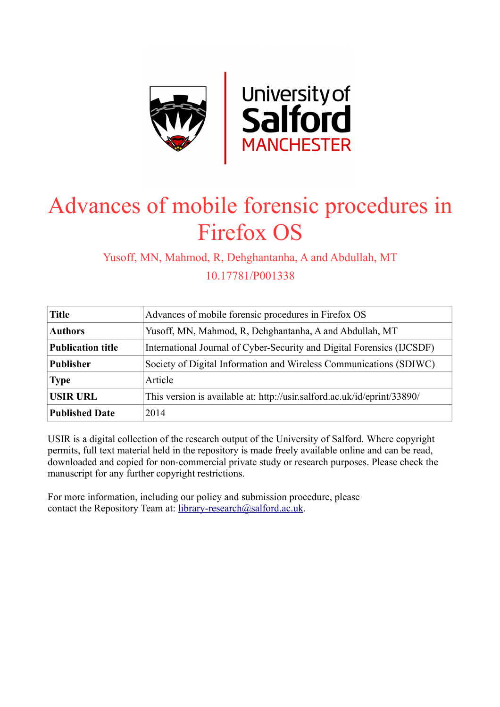

# Advances of mobile forensic procedures in Firefox OS

Yusoff, MN, Mahmod, R, Dehghantanha, A and Abdullah, MT 10.17781/P001338

| <b>Title</b>                                                                                | Advances of mobile forensic procedures in Firefox OS                   |  |
|---------------------------------------------------------------------------------------------|------------------------------------------------------------------------|--|
| <b>Authors</b>                                                                              | Yusoff, MN, Mahmod, R, Dehghantanha, A and Abdullah, MT                |  |
| <b>Publication title</b>                                                                    | International Journal of Cyber-Security and Digital Forensics (IJCSDF) |  |
| <b>Publisher</b>                                                                            | Society of Digital Information and Wireless Communications (SDIWC)     |  |
| <b>Type</b>                                                                                 | Article                                                                |  |
| <b>USIR URL</b><br>This version is available at: http://usir.salford.ac.uk/id/eprint/33890/ |                                                                        |  |
| <b>Published Date</b>                                                                       | 2014                                                                   |  |

USIR is a digital collection of the research output of the University of Salford. Where copyright permits, full text material held in the repository is made freely available online and can be read, downloaded and copied for non-commercial private study or research purposes. Please check the manuscript for any further copyright restrictions.

For more information, including our policy and submission procedure, please contact the Repository Team at: [library-research@salford.ac.uk.](mailto:library-research@salford.ac.uk)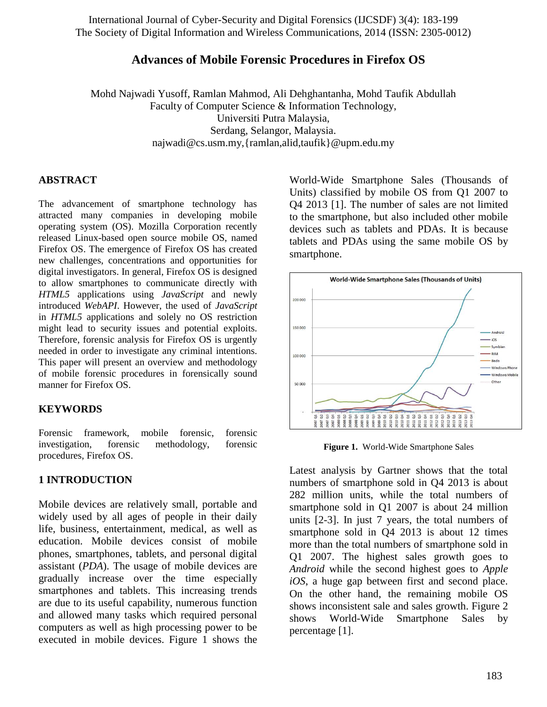## **Advances of Mobile Forensic Procedures in Firefox OS**

Mohd Najwadi Yusoff, Ramlan Mahmod, Ali Dehghantanha, Mohd Taufik Abdullah Faculty of Computer Science & Information Technology, Universiti Putra Malaysia, Serdang, Selangor, Malaysia. najwadi@cs.usm.my,{ramlan,alid,taufik}@upm.edu.my

#### **ABSTRACT**

The advancement of smartphone technology has attracted many companies in developing mobile operating system (OS). Mozilla Corporation recently released Linux-based open source mobile OS, named Firefox OS. The emergence of Firefox OS has created new challenges, concentrations and opportunities for digital investigators. In general, Firefox OS is designed to allow smartphones to communicate directly with *HTML5* applications using *JavaScript* and newly introduced *WebAPI*. However, the used of *JavaScript*  in *HTML5* applications and solely no OS restriction might lead to security issues and potential exploits. Therefore, forensic analysis for Firefox OS is urgently needed in order to investigate any criminal intentions. This paper will present an overview and methodology of mobile forensic procedures in forensically sound manner for Firefox OS.

#### **KEYWORDS**

Forensic framework, mobile forensic, forensic investigation, forensic methodology, forensic procedures, Firefox OS.

#### **1 INTRODUCTION**

Mobile devices are relatively small, portable and widely used by all ages of people in their daily life, business, entertainment, medical, as well as education. Mobile devices consist of mobile phones, smartphones, tablets, and personal digital assistant (*PDA*). The usage of mobile devices are gradually increase over the time especially smartphones and tablets. This increasing trends are due to its useful capability, numerous function and allowed many tasks which required personal computers as well as high processing power to be executed in mobile devices. Figure 1 shows the

World-Wide Smartphone Sales (Thousands of Units) classified by mobile OS from Q1 2007 to Q4 2013 [1]. The number of sales are not limited to the smartphone, but also included other mobile devices such as tablets and PDAs. It is because tablets and PDAs using the same mobile OS by smartphone.



**Figure 1.** World-Wide Smartphone Sales

Latest analysis by Gartner shows that the total numbers of smartphone sold in Q4 2013 is about 282 million units, while the total numbers of smartphone sold in Q1 2007 is about 24 million units [2-3]. In just 7 years, the total numbers of smartphone sold in Q4 2013 is about 12 times more than the total numbers of smartphone sold in Q1 2007. The highest sales growth goes to *Android* while the second highest goes to *Apple iOS*, a huge gap between first and second place. On the other hand, the remaining mobile OS shows inconsistent sale and sales growth. Figure 2 shows World-Wide Smartphone Sales by percentage [1].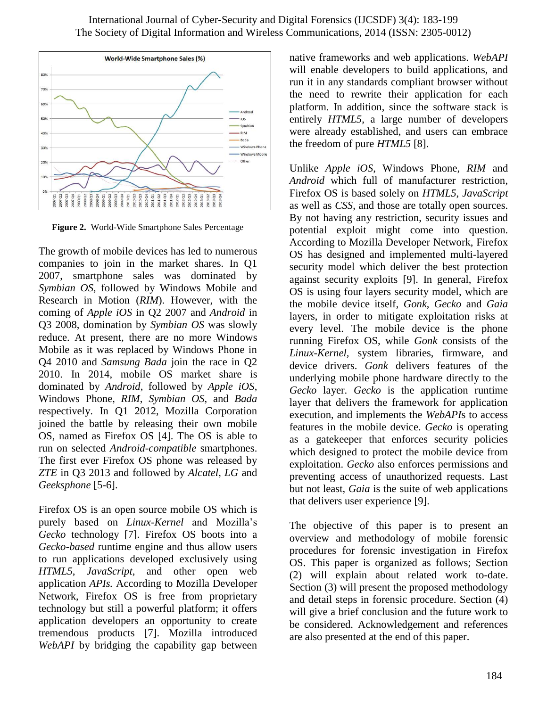

**Figure 2.** World-Wide Smartphone Sales Percentage

The growth of mobile devices has led to numerous companies to join in the market shares. In Q1 2007, smartphone sales was dominated by *Symbian OS*, followed by Windows Mobile and Research in Motion (*RIM*). However, with the coming of *Apple iOS* in Q2 2007 and *Android* in Q3 2008, domination by *Symbian OS* was slowly reduce. At present, there are no more Windows Mobile as it was replaced by Windows Phone in Q4 2010 and *Samsung Bada* join the race in Q2 2010. In 2014, mobile OS market share is dominated by *Android*, followed by *Apple iOS*, Windows Phone, *RIM*, *Symbian OS*, and *Bada* respectively. In Q1 2012, Mozilla Corporation joined the battle by releasing their own mobile OS, named as Firefox OS [4]. The OS is able to run on selected *Android-compatible* smartphones. The first ever Firefox OS phone was released by *ZTE* in Q3 2013 and followed by *Alcatel*, *LG* and *Geeksphone* [5-6].

Firefox OS is an open source mobile OS which is purely based on *Linux-Kernel* and Mozilla's *Gecko* technology [7]. Firefox OS boots into a *Gecko-based* runtime engine and thus allow users to run applications developed exclusively using *HTML5*, *JavaScript*, and other open web application *APIs.* According to Mozilla Developer Network, Firefox OS is free from proprietary technology but still a powerful platform; it offers application developers an opportunity to create tremendous products [7]. Mozilla introduced *WebAPI* by bridging the capability gap between

native frameworks and web applications. *WebAPI* will enable developers to build applications, and run it in any standards compliant browser without the need to rewrite their application for each platform. In addition, since the software stack is entirely *HTML5*, a large number of developers were already established, and users can embrace the freedom of pure *HTML5* [8].

Unlike *Apple iOS*, Windows Phone, *RIM* and *Android* which full of manufacturer restriction, Firefox OS is based solely on *HTML5*, *JavaScript* as well as *CSS*, and those are totally open sources. By not having any restriction, security issues and potential exploit might come into question. According to Mozilla Developer Network, Firefox OS has designed and implemented multi-layered security model which deliver the best protection against security exploits [9]. In general, Firefox OS is using four layers security model, which are the mobile device itself, *Gonk*, *Gecko* and *Gaia* layers, in order to mitigate exploitation risks at every level. The mobile device is the phone running Firefox OS, while *Gonk* consists of the *Linux-Kernel,* system libraries, firmware, and device drivers. *Gonk* delivers features of the underlying mobile phone hardware directly to the *Gecko* layer. *Gecko* is the application runtime layer that delivers the framework for application execution, and implements the *WebAPI*s to access features in the mobile device. *Gecko* is operating as a gatekeeper that enforces security policies which designed to protect the mobile device from exploitation. *Gecko* also enforces permissions and preventing access of unauthorized requests. Last but not least, *Gaia* is the suite of web applications that delivers user experience [9].

The objective of this paper is to present an overview and methodology of mobile forensic procedures for forensic investigation in Firefox OS. This paper is organized as follows; Section (2) will explain about related work to-date. Section (3) will present the proposed methodology and detail steps in forensic procedure. Section (4) will give a brief conclusion and the future work to be considered. Acknowledgement and references are also presented at the end of this paper.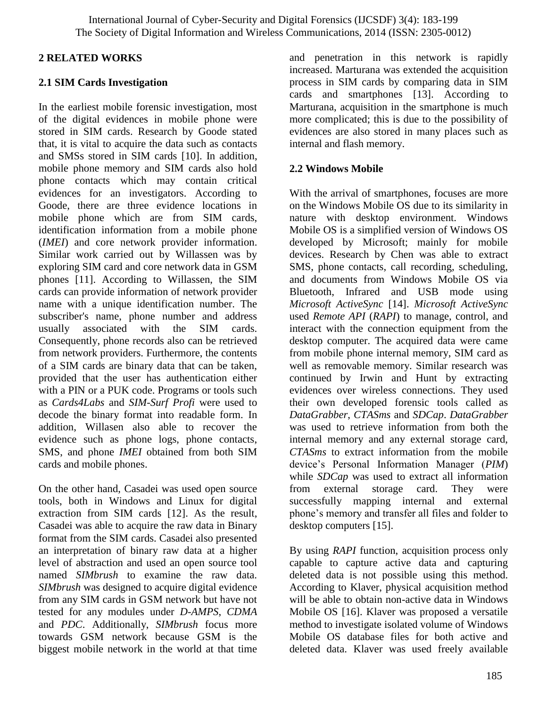## **2 RELATED WORKS**

## **2.1 SIM Cards Investigation**

In the earliest mobile forensic investigation, most of the digital evidences in mobile phone were stored in SIM cards. Research by Goode stated that, it is vital to acquire the data such as contacts and SMSs stored in SIM cards [10]. In addition, mobile phone memory and SIM cards also hold phone contacts which may contain critical evidences for an investigators. According to Goode, there are three evidence locations in mobile phone which are from SIM cards, identification information from a mobile phone (*IMEI*) and core network provider information. Similar work carried out by Willassen was by exploring SIM card and core network data in GSM phones [11]. According to Willassen, the SIM cards can provide information of network provider name with a unique identification number. The subscriber's name, phone number and address usually associated with the SIM cards. Consequently, phone records also can be retrieved from network providers. Furthermore, the contents of a SIM cards are binary data that can be taken, provided that the user has authentication either with a PIN or a PUK code. Programs or tools such as *Cards4Labs* and *SIM-Surf Profi* were used to decode the binary format into readable form. In addition, Willasen also able to recover the evidence such as phone logs, phone contacts, SMS, and phone *IMEI* obtained from both SIM cards and mobile phones.

On the other hand, Casadei was used open source tools, both in Windows and Linux for digital extraction from SIM cards [12]. As the result, Casadei was able to acquire the raw data in Binary format from the SIM cards. Casadei also presented an interpretation of binary raw data at a higher level of abstraction and used an open source tool named *SIMbrush* to examine the raw data. *SIMbrush* was designed to acquire digital evidence from any SIM cards in GSM network but have not tested for any modules under *D-AMPS*, *CDMA* and *PDC*. Additionally, *SIMbrush* focus more towards GSM network because GSM is the biggest mobile network in the world at that time

and penetration in this network is rapidly increased. Marturana was extended the acquisition process in SIM cards by comparing data in SIM cards and smartphones [13]. According to Marturana, acquisition in the smartphone is much more complicated; this is due to the possibility of evidences are also stored in many places such as internal and flash memory.

## **2.2 Windows Mobile**

With the arrival of smartphones, focuses are more on the Windows Mobile OS due to its similarity in nature with desktop environment. Windows Mobile OS is a simplified version of Windows OS developed by Microsoft; mainly for mobile devices. Research by Chen was able to extract SMS, phone contacts, call recording, scheduling, and documents from Windows Mobile OS via Bluetooth, Infrared and USB mode using *Microsoft ActiveSync* [14]. *Microsoft ActiveSync* used *Remote API* (*RAPI*) to manage, control, and interact with the connection equipment from the desktop computer. The acquired data were came from mobile phone internal memory, SIM card as well as removable memory. Similar research was continued by Irwin and Hunt by extracting evidences over wireless connections. They used their own developed forensic tools called as *DataGrabber*, *CTASms* and *SDCap*. *DataGrabber* was used to retrieve information from both the internal memory and any external storage card, *CTASms* to extract information from the mobile device's Personal Information Manager (*PIM*) while *SDCap* was used to extract all information from external storage card. They were successfully mapping internal and external phone's memory and transfer all files and folder to desktop computers [15].

By using *RAPI* function, acquisition process only capable to capture active data and capturing deleted data is not possible using this method. According to Klaver, physical acquisition method will be able to obtain non-active data in Windows Mobile OS [16]. Klaver was proposed a versatile method to investigate isolated volume of Windows Mobile OS database files for both active and deleted data. Klaver was used freely available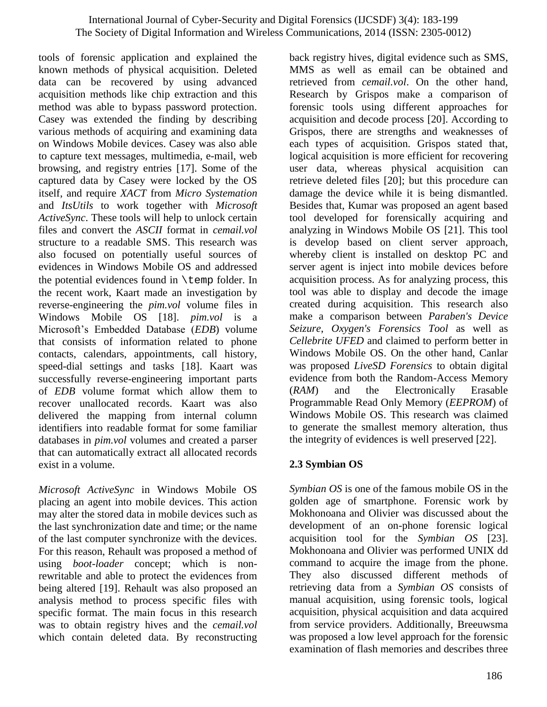tools of forensic application and explained the known methods of physical acquisition. Deleted data can be recovered by using advanced acquisition methods like chip extraction and this method was able to bypass password protection. Casey was extended the finding by describing various methods of acquiring and examining data on Windows Mobile devices. Casey was also able to capture text messages, multimedia, e-mail, web browsing, and registry entries [17]. Some of the captured data by Casey were locked by the OS itself, and require *XACT* from *Micro Systemation* and *ItsUtils* to work together with *Microsoft ActiveSync*. These tools will help to unlock certain files and convert the *ASCII* format in *cemail.vol* structure to a readable SMS. This research was also focused on potentially useful sources of evidences in Windows Mobile OS and addressed the potential evidences found in \temp folder. In the recent work, Kaart made an investigation by reverse-engineering the *pim.vol* volume files in Windows Mobile OS [18]. *pim.vol* is a Microsoft's Embedded Database (*EDB*) volume that consists of information related to phone contacts, calendars, appointments, call history, speed-dial settings and tasks [18]. Kaart was successfully reverse-engineering important parts of *EDB* volume format which allow them to recover unallocated records. Kaart was also delivered the mapping from internal column identifiers into readable format for some familiar databases in *pim.vol* volumes and created a parser that can automatically extract all allocated records exist in a volume.

*Microsoft ActiveSync* in Windows Mobile OS placing an agent into mobile devices. This action may alter the stored data in mobile devices such as the last synchronization date and time; or the name of the last computer synchronize with the devices. For this reason, Rehault was proposed a method of using *boot-loader* concept; which is nonrewritable and able to protect the evidences from being altered [19]. Rehault was also proposed an analysis method to process specific files with specific format. The main focus in this research was to obtain registry hives and the *cemail.vol* which contain deleted data. By reconstructing

back registry hives, digital evidence such as SMS, MMS as well as email can be obtained and retrieved from *cemail.vol*. On the other hand, Research by Grispos make a comparison of forensic tools using different approaches for acquisition and decode process [20]. According to Grispos, there are strengths and weaknesses of each types of acquisition. Grispos stated that, logical acquisition is more efficient for recovering user data, whereas physical acquisition can retrieve deleted files [20]; but this procedure can damage the device while it is being dismantled. Besides that, Kumar was proposed an agent based tool developed for forensically acquiring and analyzing in Windows Mobile OS [21]. This tool is develop based on client server approach, whereby client is installed on desktop PC and server agent is inject into mobile devices before acquisition process. As for analyzing process, this tool was able to display and decode the image created during acquisition. This research also make a comparison between *Paraben's Device Seizure*, *Oxygen's Forensics Tool* as well as *Cellebrite UFED* and claimed to perform better in Windows Mobile OS. On the other hand, Canlar was proposed *LiveSD Forensics* to obtain digital evidence from both the Random-Access Memory (*RAM*) and the Electronically Erasable Programmable Read Only Memory (*EEPROM*) of Windows Mobile OS. This research was claimed to generate the smallest memory alteration, thus the integrity of evidences is well preserved [22].

## **2.3 Symbian OS**

*Symbian OS* is one of the famous mobile OS in the golden age of smartphone. Forensic work by Mokhonoana and Olivier was discussed about the development of an on-phone forensic logical acquisition tool for the *Symbian OS* [23]. Mokhonoana and Olivier was performed UNIX dd command to acquire the image from the phone. They also discussed different methods of retrieving data from a *Symbian OS* consists of manual acquisition, using forensic tools, logical acquisition, physical acquisition and data acquired from service providers. Additionally, Breeuwsma was proposed a low level approach for the forensic examination of flash memories and describes three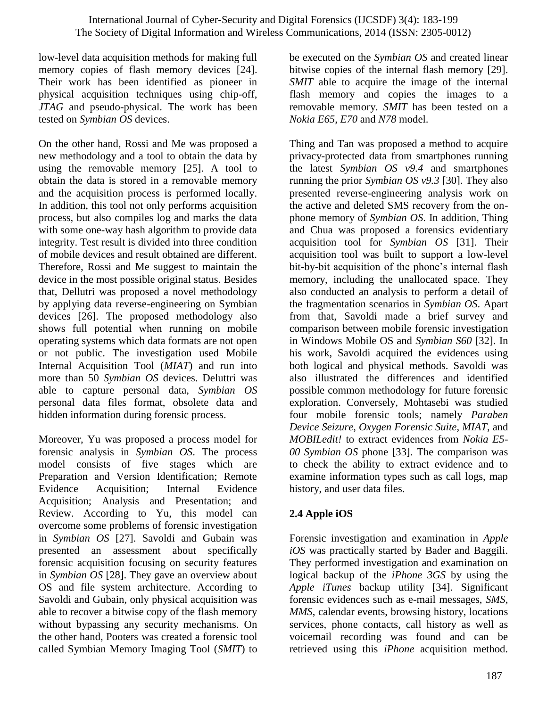low-level data acquisition methods for making full memory copies of flash memory devices [24]. Their work has been identified as pioneer in physical acquisition techniques using chip-off, *JTAG* and pseudo-physical. The work has been tested on *Symbian OS* devices.

On the other hand, Rossi and Me was proposed a new methodology and a tool to obtain the data by using the removable memory [25]. A tool to obtain the data is stored in a removable memory and the acquisition process is performed locally. In addition, this tool not only performs acquisition process, but also compiles log and marks the data with some one-way hash algorithm to provide data integrity. Test result is divided into three condition of mobile devices and result obtained are different. Therefore, Rossi and Me suggest to maintain the device in the most possible original status. Besides that, Dellutri was proposed a novel methodology by applying data reverse-engineering on Symbian devices [26]. The proposed methodology also shows full potential when running on mobile operating systems which data formats are not open or not public. The investigation used Mobile Internal Acquisition Tool (*MIAT*) and run into more than 50 *Symbian OS* devices. Deluttri was able to capture personal data, *Symbian OS* personal data files format, obsolete data and hidden information during forensic process.

Moreover, Yu was proposed a process model for forensic analysis in *Symbian OS*. The process model consists of five stages which are Preparation and Version Identification; Remote Evidence Acquisition; Internal Evidence Acquisition; Analysis and Presentation; and Review. According to Yu, this model can overcome some problems of forensic investigation in *Symbian OS* [27]. Savoldi and Gubain was presented an assessment about specifically forensic acquisition focusing on security features in *Symbian OS* [28]. They gave an overview about OS and file system architecture. According to Savoldi and Gubain, only physical acquisition was able to recover a bitwise copy of the flash memory without bypassing any security mechanisms. On the other hand, Pooters was created a forensic tool called Symbian Memory Imaging Tool (*SMIT*) to

be executed on the *Symbian OS* and created linear bitwise copies of the internal flash memory [29]. *SMIT* able to acquire the image of the internal flash memory and copies the images to a removable memory. *SMIT* has been tested on a *Nokia E65*, *E70* and *N78* model.

Thing and Tan was proposed a method to acquire privacy-protected data from smartphones running the latest *Symbian OS v9.4* and smartphones running the prior *Symbian OS v9.3* [30]. They also presented reverse-engineering analysis work on the active and deleted SMS recovery from the onphone memory of *Symbian OS*. In addition, Thing and Chua was proposed a forensics evidentiary acquisition tool for *Symbian OS* [31]. Their acquisition tool was built to support a low-level bit-by-bit acquisition of the phone's internal flash memory, including the unallocated space. They also conducted an analysis to perform a detail of the fragmentation scenarios in *Symbian OS*. Apart from that, Savoldi made a brief survey and comparison between mobile forensic investigation in Windows Mobile OS and *Symbian S60* [32]. In his work, Savoldi acquired the evidences using both logical and physical methods. Savoldi was also illustrated the differences and identified possible common methodology for future forensic exploration. Conversely, Mohtasebi was studied four mobile forensic tools; namely *Paraben Device Seizure*, *Oxygen Forensic Suite*, *MIAT*, and *MOBILedit!* to extract evidences from *Nokia E5- 00 Symbian OS* phone [33]. The comparison was to check the ability to extract evidence and to examine information types such as call logs, map history, and user data files.

# **2.4 Apple iOS**

Forensic investigation and examination in *Apple iOS* was practically started by Bader and Baggili. They performed investigation and examination on logical backup of the *iPhone 3GS* by using the *Apple iTunes* backup utility [34]. Significant forensic evidences such as e-mail messages, *SMS*, *MMS*, calendar events, browsing history, locations services, phone contacts, call history as well as voicemail recording was found and can be retrieved using this *iPhone* acquisition method.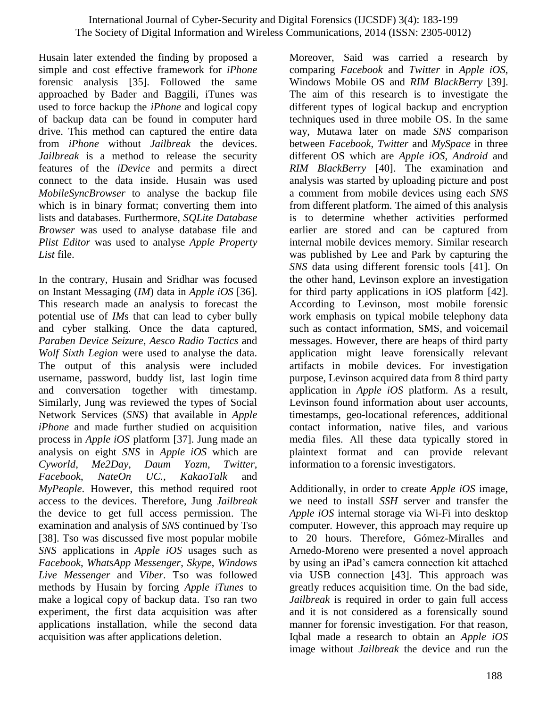Husain later extended the finding by proposed a simple and cost effective framework for *iPhone* forensic analysis [35]. Followed the same approached by Bader and Baggili, iTunes was used to force backup the *iPhone* and logical copy of backup data can be found in computer hard drive. This method can captured the entire data from *iPhone* without *Jailbreak* the devices. *Jailbreak* is a method to release the security features of the *iDevice* and permits a direct connect to the data inside. Husain was used *MobileSyncBrowser* to analyse the backup file which is in binary format; converting them into lists and databases. Furthermore, *SQLite Database Browser* was used to analyse database file and *Plist Editor* was used to analyse *Apple Property List* file.

In the contrary, Husain and Sridhar was focused on Instant Messaging (*IM*) data in *Apple iOS* [36]. This research made an analysis to forecast the potential use of *IM*s that can lead to cyber bully and cyber stalking. Once the data captured, *Paraben Device Seizure*, *Aesco Radio Tactics* and *Wolf Sixth Legion* were used to analyse the data. The output of this analysis were included username, password, buddy list, last login time and conversation together with timestamp. Similarly, Jung was reviewed the types of Social Network Services (*SNS*) that available in *Apple iPhone* and made further studied on acquisition process in *Apple iOS* platform [37]. Jung made an analysis on eight *SNS* in *Apple iOS* which are *Cyworld*, *Me2Day*, *Daum Yozm*, *Twitter*, *Facebook*, *NateOn UC.*, *KakaoTalk* and *MyPeople*. However, this method required root access to the devices. Therefore, Jung *Jailbreak* the device to get full access permission. The examination and analysis of *SNS* continued by Tso [38]. Tso was discussed five most popular mobile *SNS* applications in *Apple iOS* usages such as *Facebook*, *WhatsApp Messenger*, *Skype*, *Windows Live Messenger* and *Viber*. Tso was followed methods by Husain by forcing *Apple iTunes* to make a logical copy of backup data. Tso ran two experiment, the first data acquisition was after applications installation, while the second data acquisition was after applications deletion.

Moreover, Said was carried a research by comparing *Facebook* and *Twitter* in *Apple iOS*, Windows Mobile OS and *RIM BlackBerry* [39]. The aim of this research is to investigate the different types of logical backup and encryption techniques used in three mobile OS. In the same way, Mutawa later on made *SNS* comparison between *Facebook*, *Twitter* and *MySpace* in three different OS which are *Apple iOS*, *Android* and *RIM BlackBerry* [40]. The examination and analysis was started by uploading picture and post a comment from mobile devices using each *SNS* from different platform. The aimed of this analysis is to determine whether activities performed earlier are stored and can be captured from internal mobile devices memory. Similar research was published by Lee and Park by capturing the *SNS* data using different forensic tools [41]. On the other hand, Levinson explore an investigation for third party applications in iOS platform [42]. According to Levinson, most mobile forensic work emphasis on typical mobile telephony data such as contact information, SMS, and voicemail messages. However, there are heaps of third party application might leave forensically relevant artifacts in mobile devices. For investigation purpose, Levinson acquired data from 8 third party application in *Apple iOS* platform. As a result, Levinson found information about user accounts, timestamps, geo-locational references, additional contact information, native files, and various media files. All these data typically stored in plaintext format and can provide relevant information to a forensic investigators.

Additionally, in order to create *Apple iOS* image, we need to install *SSH* server and transfer the *Apple iOS* internal storage via Wi-Fi into desktop computer. However, this approach may require up to 20 hours. Therefore, Gómez-Miralles and Arnedo-Moreno were presented a novel approach by using an iPad's camera connection kit attached via USB connection [43]. This approach was greatly reduces acquisition time. On the bad side, *Jailbreak* is required in order to gain full access and it is not considered as a forensically sound manner for forensic investigation. For that reason, Iqbal made a research to obtain an *Apple iOS* image without *Jailbreak* the device and run the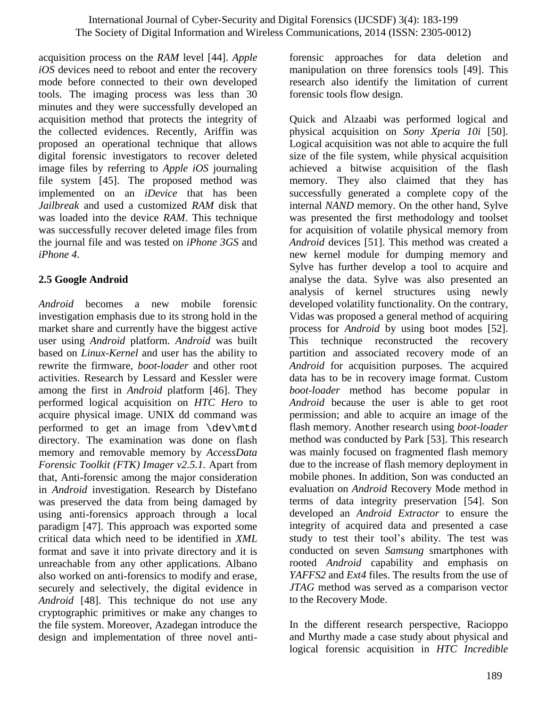acquisition process on the *RAM* level [44]. *Apple iOS* devices need to reboot and enter the recovery mode before connected to their own developed tools. The imaging process was less than 30 minutes and they were successfully developed an acquisition method that protects the integrity of the collected evidences. Recently, Ariffin was proposed an operational technique that allows digital forensic investigators to recover deleted image files by referring to *Apple iOS* journaling file system [45]. The proposed method was implemented on an *iDevice* that has been *Jailbreak* and used a customized *RAM* disk that was loaded into the device *RAM*. This technique was successfully recover deleted image files from the journal file and was tested on *iPhone 3GS* and *iPhone 4*.

# **2.5 Google Android**

*Android* becomes a new mobile forensic investigation emphasis due to its strong hold in the market share and currently have the biggest active user using *Android* platform. *Android* was built based on *Linux-Kernel* and user has the ability to rewrite the firmware, *boot-loader* and other root activities. Research by Lessard and Kessler were among the first in *Android* platform [46]. They performed logical acquisition on *HTC Hero* to acquire physical image. UNIX dd command was performed to get an image from \dev\mtd directory. The examination was done on flash memory and removable memory by *AccessData Forensic Toolkit (FTK) Imager v2.5.1.* Apart from that, Anti-forensic among the major consideration in *Android* investigation. Research by Distefano was preserved the data from being damaged by using anti-forensics approach through a local paradigm [47]. This approach was exported some critical data which need to be identified in *XML* format and save it into private directory and it is unreachable from any other applications. Albano also worked on anti-forensics to modify and erase, securely and selectively, the digital evidence in *Android* [48]. This technique do not use any cryptographic primitives or make any changes to the file system. Moreover, Azadegan introduce the design and implementation of three novel antiforensic approaches for data deletion and manipulation on three forensics tools [49]. This research also identify the limitation of current forensic tools flow design.

Quick and Alzaabi was performed logical and physical acquisition on *Sony Xperia 10i* [50]. Logical acquisition was not able to acquire the full size of the file system, while physical acquisition achieved a bitwise acquisition of the flash memory. They also claimed that they has successfully generated a complete copy of the internal *NAND* memory. On the other hand, Sylve was presented the first methodology and toolset for acquisition of volatile physical memory from *Android* devices [51]. This method was created a new kernel module for dumping memory and Sylve has further develop a tool to acquire and analyse the data. Sylve was also presented an analysis of kernel structures using newly developed volatility functionality. On the contrary, Vidas was proposed a general method of acquiring process for *Android* by using boot modes [52]. This technique reconstructed the recovery partition and associated recovery mode of an *Android* for acquisition purposes. The acquired data has to be in recovery image format. Custom *boot-loader* method has become popular in *Android* because the user is able to get root permission; and able to acquire an image of the flash memory. Another research using *boot-loader* method was conducted by Park [53]. This research was mainly focused on fragmented flash memory due to the increase of flash memory deployment in mobile phones. In addition, Son was conducted an evaluation on *Android* Recovery Mode method in terms of data integrity preservation [54]. Son developed an *Android Extractor* to ensure the integrity of acquired data and presented a case study to test their tool's ability. The test was conducted on seven *Samsung* smartphones with rooted *Android* capability and emphasis on *YAFFS2* and *Ext4* files. The results from the use of *JTAG* method was served as a comparison vector to the Recovery Mode.

In the different research perspective, Racioppo and Murthy made a case study about physical and logical forensic acquisition in *HTC Incredible*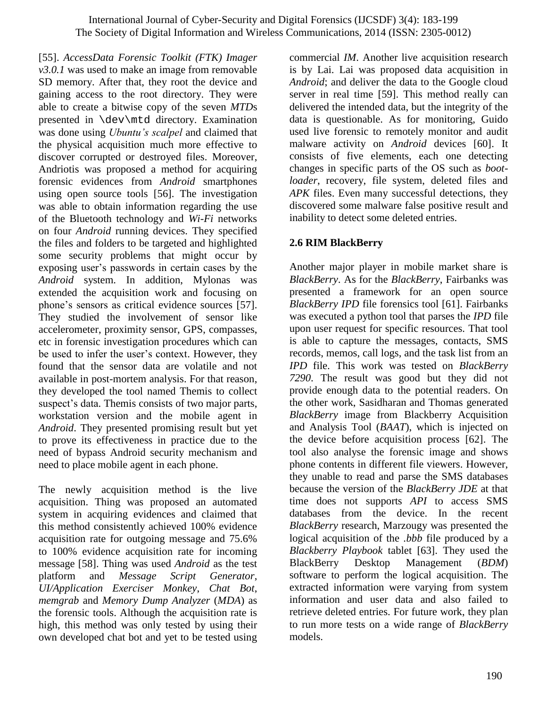[55]. *AccessData Forensic Toolkit (FTK) Imager v3.0.1* was used to make an image from removable SD memory. After that, they root the device and gaining access to the root directory. They were able to create a bitwise copy of the seven *MTD*s presented in \dev\mtd directory. Examination was done using *Ubuntu's scalpel* and claimed that the physical acquisition much more effective to discover corrupted or destroyed files. Moreover, Andriotis was proposed a method for acquiring forensic evidences from *Android* smartphones using open source tools [56]. The investigation was able to obtain information regarding the use of the Bluetooth technology and *Wi-Fi* networks on four *Android* running devices. They specified the files and folders to be targeted and highlighted some security problems that might occur by exposing user's passwords in certain cases by the *Android* system. In addition, Mylonas was extended the acquisition work and focusing on phone's sensors as critical evidence sources [57]. They studied the involvement of sensor like accelerometer, proximity sensor, GPS, compasses, etc in forensic investigation procedures which can be used to infer the user's context. However, they found that the sensor data are volatile and not available in post-mortem analysis. For that reason, they developed the tool named Themis to collect suspect's data. Themis consists of two major parts, workstation version and the mobile agent in *Android*. They presented promising result but yet to prove its effectiveness in practice due to the need of bypass Android security mechanism and need to place mobile agent in each phone.

The newly acquisition method is the live acquisition. Thing was proposed an automated system in acquiring evidences and claimed that this method consistently achieved 100% evidence acquisition rate for outgoing message and 75.6% to 100% evidence acquisition rate for incoming message [58]. Thing was used *Android* as the test platform and *Message Script Generator*, *UI/Application Exerciser Monkey*, *Chat Bot*, *memgrab* and *Memory Dump Analyzer* (*MDA*) as the forensic tools. Although the acquisition rate is high, this method was only tested by using their own developed chat bot and yet to be tested using

commercial *IM*. Another live acquisition research is by Lai. Lai was proposed data acquisition in *Android*; and deliver the data to the Google cloud server in real time [59]. This method really can delivered the intended data, but the integrity of the data is questionable. As for monitoring, Guido used live forensic to remotely monitor and audit malware activity on *Android* devices [60]. It consists of five elements, each one detecting changes in specific parts of the OS such as *bootloader*, recovery, file system, deleted files and *APK* files. Even many successful detections, they discovered some malware false positive result and inability to detect some deleted entries.

# **2.6 RIM BlackBerry**

Another major player in mobile market share is *BlackBerry*. As for the *BlackBerry*, Fairbanks was presented a framework for an open source *BlackBerry IPD* file forensics tool [61]. Fairbanks was executed a python tool that parses the *IPD* file upon user request for specific resources. That tool is able to capture the messages, contacts, SMS records, memos, call logs, and the task list from an *IPD* file. This work was tested on *BlackBerry 7290*. The result was good but they did not provide enough data to the potential readers. On the other work, Sasidharan and Thomas generated *BlackBerry* image from Blackberry Acquisition and Analysis Tool (*BAAT*), which is injected on the device before acquisition process [62]. The tool also analyse the forensic image and shows phone contents in different file viewers. However, they unable to read and parse the SMS databases because the version of the *BlackBerry JDE* at that time does not supports *API* to access SMS databases from the device. In the recent *BlackBerry* research, Marzougy was presented the logical acquisition of the *.bbb* file produced by a *Blackberry Playbook* tablet [63]. They used the BlackBerry Desktop Management (*BDM*) software to perform the logical acquisition. The extracted information were varying from system information and user data and also failed to retrieve deleted entries. For future work, they plan to run more tests on a wide range of *BlackBerry* models.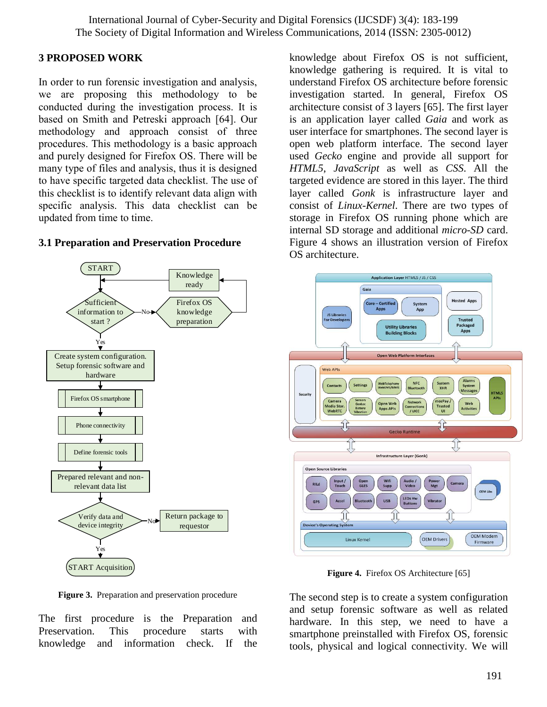## **3 PROPOSED WORK**

In order to run forensic investigation and analysis, we are proposing this methodology to be conducted during the investigation process. It is based on Smith and Petreski approach [64]. Our methodology and approach consist of three procedures. This methodology is a basic approach and purely designed for Firefox OS. There will be many type of files and analysis, thus it is designed to have specific targeted data checklist. The use of this checklist is to identify relevant data align with specific analysis. This data checklist can be updated from time to time.



### **3.1 Preparation and Preservation Procedure**

**Figure 3.** Preparation and preservation procedure

The first procedure is the Preparation and Preservation. This procedure starts with knowledge and information check. If the knowledge about Firefox OS is not sufficient, knowledge gathering is required. It is vital to understand Firefox OS architecture before forensic investigation started. In general, Firefox OS architecture consist of 3 layers [65]. The first layer is an application layer called *Gaia* and work as user interface for smartphones. The second layer is open web platform interface. The second layer used *Gecko* engine and provide all support for *HTML5*, *JavaScript* as well as *CSS*. All the targeted evidence are stored in this layer. The third layer called *Gonk* is infrastructure layer and consist of *Linux-Kernel*. There are two types of storage in Firefox OS running phone which are internal SD storage and additional *micro-SD* card. Figure 4 shows an illustration version of Firefox OS architecture.



**Figure 4.** Firefox OS Architecture [65]

The second step is to create a system configuration and setup forensic software as well as related hardware. In this step, we need to have a smartphone preinstalled with Firefox OS, forensic tools, physical and logical connectivity. We will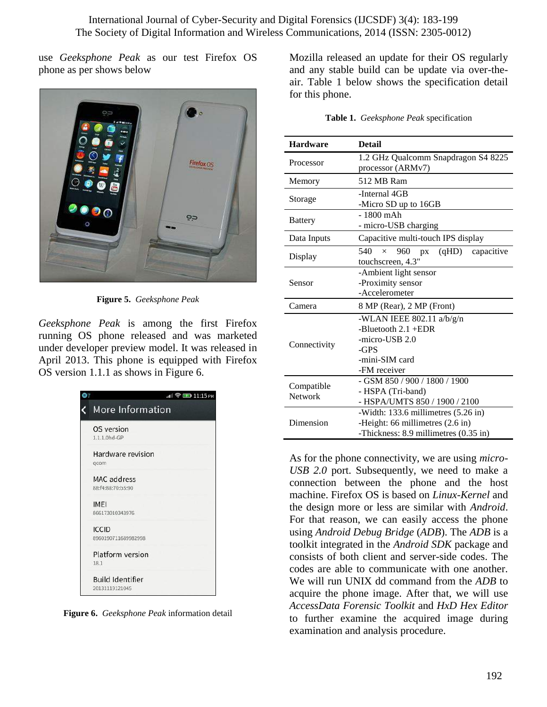use *Geeksphone Peak* as our test Firefox OS phone as per shows below



**Figure 5.** *Geeksphone Peak*

*Geeksphone Peak* is among the first Firefox running OS phone released and was marketed under developer preview model. It was released in April 2013. This phone is equipped with Firefox OS version 1.1.1 as shows in Figure 6.

|                                           | $   \widehat{\mathbb{R}} \boxtimes 11:15$ PM |
|-------------------------------------------|----------------------------------------------|
| More Information                          |                                              |
| OS version<br>1.1.1.0hd-GP                |                                              |
| Hardware revision<br>gcom                 |                                              |
| MAC address<br>88:f4:88:70:b5:90          |                                              |
| <b>IMFI</b><br>866173010343976            |                                              |
| <b>ICCID</b><br>8960190711689982998       |                                              |
| Platform version<br>18.1                  |                                              |
| <b>Build Identifier</b><br>20131119121045 |                                              |

**Figure 6.** *Geeksphone Peak* information detail

Mozilla released an update for their OS regularly and any stable build can be update via over-theair. Table 1 below shows the specification detail for this phone.

| Table 1. Geeksphone Peak specification |  |
|----------------------------------------|--|
|                                        |  |

| <b>Hardware</b>              | <b>Detail</b>                                                                                                    |  |  |
|------------------------------|------------------------------------------------------------------------------------------------------------------|--|--|
| Processor                    | 1.2 GHz Qualcomm Snapdragon S4 8225<br>processor (ARMv7)                                                         |  |  |
| Memory                       | 512 MB Ram                                                                                                       |  |  |
| Storage                      | -Internal 4GB<br>-Micro SD up to 16GB                                                                            |  |  |
| <b>Battery</b>               | $-1800$ mAh<br>- micro-USB charging                                                                              |  |  |
| Data Inputs                  | Capacitive multi-touch IPS display                                                                               |  |  |
| Display                      | 540<br>960<br>(qHD)<br>capacitive<br>$\times$<br><b>DX</b><br>touchscreen, 4.3"                                  |  |  |
| Sensor                       | -Ambient light sensor<br>-Proximity sensor<br>-Accelerometer                                                     |  |  |
| Camera                       | 8 MP (Rear), 2 MP (Front)                                                                                        |  |  |
| Connectivity                 | -WLAN IEEE 802.11 a/b/g/n<br>-Bluetooth $2.1 + EDR$<br>-micro-USB 2.0<br>-GPS<br>-mini-SIM card<br>-FM receiver  |  |  |
| Compatible<br><b>Network</b> | - GSM 850 / 900 / 1800 / 1900<br>- HSPA (Tri-band)<br>- HSPA/UMTS 850 / 1900 / 2100                              |  |  |
| Dimension                    | -Width: 133.6 millimetres (5.26 in)<br>-Height: 66 millimetres (2.6 in)<br>-Thickness: 8.9 millimetres (0.35 in) |  |  |

As for the phone connectivity, we are using *micro-USB 2.0* port. Subsequently, we need to make a connection between the phone and the host machine. Firefox OS is based on *Linux-Kernel* and the design more or less are similar with *Android*. For that reason, we can easily access the phone using *Android Debug Bridge* (*ADB*). The *ADB* is a toolkit integrated in the *Android SDK* package and consists of both client and server-side codes. The codes are able to communicate with one another. We will run UNIX dd command from the *ADB* to acquire the phone image. After that, we will use *AccessData Forensic Toolkit* and *HxD Hex Editor* to further examine the acquired image during examination and analysis procedure.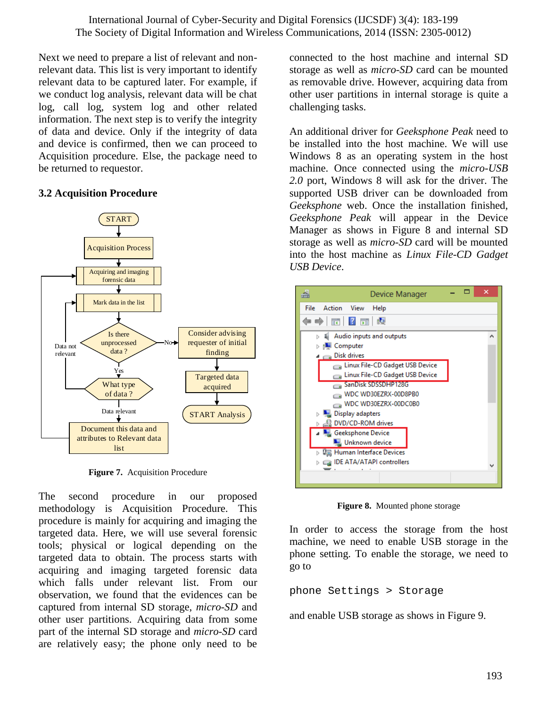Next we need to prepare a list of relevant and nonrelevant data. This list is very important to identify relevant data to be captured later. For example, if we conduct log analysis, relevant data will be chat log, call log, system log and other related information. The next step is to verify the integrity of data and device. Only if the integrity of data and device is confirmed, then we can proceed to Acquisition procedure. Else, the package need to be returned to requestor.

## **3.2 Acquisition Procedure**



**Figure 7.** Acquisition Procedure

The second procedure in our proposed methodology is Acquisition Procedure. This procedure is mainly for acquiring and imaging the targeted data. Here, we will use several forensic tools; physical or logical depending on the targeted data to obtain. The process starts with acquiring and imaging targeted forensic data which falls under relevant list. From our observation, we found that the evidences can be captured from internal SD storage, *micro-SD* and other user partitions. Acquiring data from some part of the internal SD storage and *micro-SD* card are relatively easy; the phone only need to be

connected to the host machine and internal SD storage as well as *micro-SD* card can be mounted as removable drive. However, acquiring data from other user partitions in internal storage is quite a challenging tasks.

An additional driver for *Geeksphone Peak* need to be installed into the host machine. We will use Windows 8 as an operating system in the host machine. Once connected using the *micro-USB 2.0* port, Windows 8 will ask for the driver. The supported USB driver can be downloaded from *Geeksphone* web. Once the installation finished, *Geeksphone Peak* will appear in the Device Manager as shows in Figure 8 and internal SD storage as well as *micro-SD* card will be mounted into the host machine as *Linux File-CD Gadget USB Device*.



**Figure 8.** Mounted phone storage

In order to access the storage from the host machine, we need to enable USB storage in the phone setting. To enable the storage, we need to go to

```
phone Settings > Storage
```
and enable USB storage as shows in Figure 9.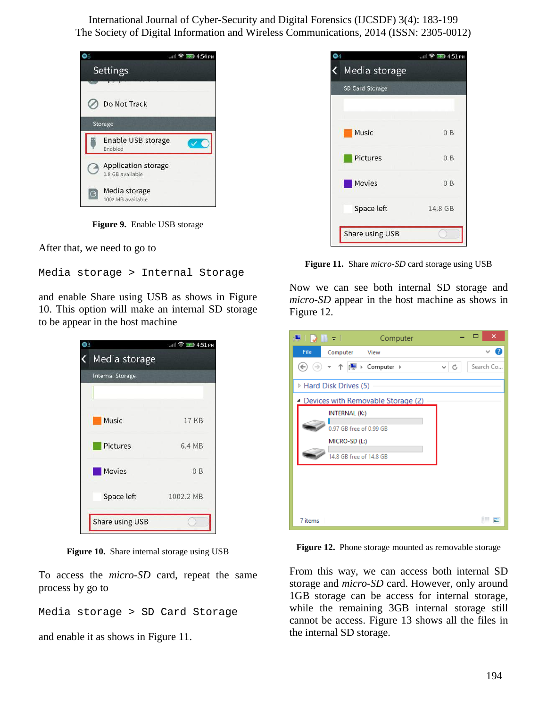

**Figure 9.** Enable USB storage

After that, we need to go to

Media storage > Internal Storage

and enable Share using USB as shows in Figure 10. This option will make an internal SD storage to be appear in the host machine

| Media storage           |           |
|-------------------------|-----------|
| <b>Internal Storage</b> |           |
|                         |           |
| Music                   | 17 KB     |
| <b>Pictures</b>         | 6.4 MB    |
| <b>Movies</b>           | 0B        |
| Space left              | 1002.2 MB |
| Share using USB         |           |

**Figure 10.** Share internal storage using USB

To access the *micro-SD* card, repeat the same process by go to

```
Media storage > SD Card Storage
```
and enable it as shows in Figure 11.



**Figure 11.** Share *micro-SD* card storage using USB

Now we can see both internal SD storage and *micro-SD* appear in the host machine as shows in Figure 12.

| 揚上版 曲々しい しん<br>Computer                                                              |          | ▭ | ×         |  |
|--------------------------------------------------------------------------------------|----------|---|-----------|--|
| File<br>Computer<br>View                                                             |          |   | Q         |  |
| ▼ 个   - Computer ▶<br>$\Rightarrow$<br>$\leftarrow$                                  | l C<br>v |   | Search Co |  |
| ▷ Hard Disk Drives (5)                                                               |          |   |           |  |
| ▲ Devices with Removable Storage (2)                                                 |          |   |           |  |
| INTERNAL (K:)<br>0.97 GB free of 0.99 GB<br>MICRO-SD (L:)<br>14.8 GB free of 14.8 GB |          |   |           |  |
| 7 items                                                                              |          |   | 睚         |  |

**Figure 12.** Phone storage mounted as removable storage

From this way, we can access both internal SD storage and *micro-SD* card. However, only around 1GB storage can be access for internal storage, while the remaining 3GB internal storage still cannot be access. Figure 13 shows all the files in the internal SD storage.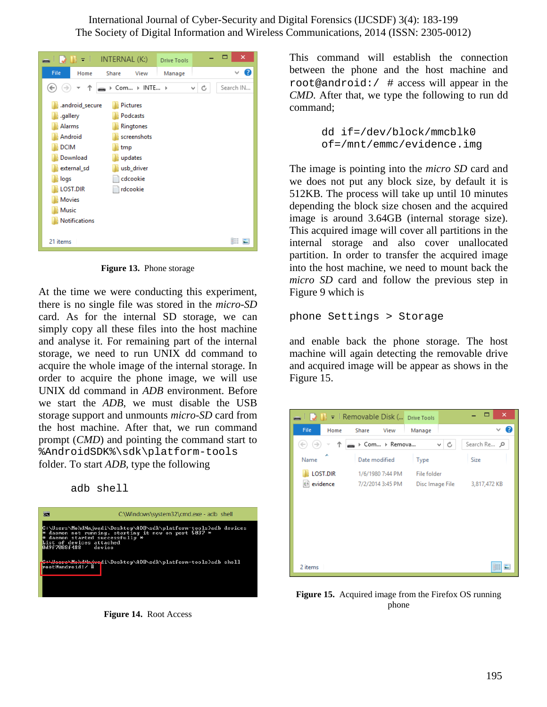| $\blacksquare$ $\blacksquare$ $\blacksquare$ $\blacksquare$ $\blacksquare$ $\blacksquare$ INTERNAL (K:)                                                                 |                                                                                                          | <b>Drive Tools</b> |         | ×         |
|-------------------------------------------------------------------------------------------------------------------------------------------------------------------------|----------------------------------------------------------------------------------------------------------|--------------------|---------|-----------|
| File<br>Home                                                                                                                                                            | Share<br>View                                                                                            | Manage             |         | Q<br>v    |
| $\rightarrow$<br>←                                                                                                                                                      | > Com > INTE >                                                                                           |                    | Ċ<br>v. | Search IN |
| .android_secure<br>.gallery<br>Alarms<br>Android<br><b>DCIM</b><br>Download<br>external_sd<br>logs<br><b>LOST.DIR</b><br><b>Movies</b><br>Music<br><b>Notifications</b> | Pictures<br>Podcasts<br>Ringtones<br>screenshots<br>tmp<br>updates<br>usb_driver<br>cdcookie<br>rdcookie |                    |         |           |
| 21 items                                                                                                                                                                |                                                                                                          |                    |         | 狂 国       |

**Figure 13.** Phone storage

At the time we were conducting this experiment, there is no single file was stored in the *micro-SD* card. As for the internal SD storage, we can simply copy all these files into the host machine and analyse it. For remaining part of the internal storage, we need to run UNIX dd command to acquire the whole image of the internal storage. In order to acquire the phone image, we will use UNIX dd command in *ADB* environment. Before we start the *ADB*, we must disable the USB storage support and unmounts *micro-SD* card from the host machine. After that, we run command prompt (*CMD*) and pointing the command start to %AndroidSDK%\sdk\platform-tools folder. To start *ADB,* type the following

adb shell



**Figure 14.** Root Access

This command will establish the connection between the phone and the host machine and root@android:  $/$  # access will appear in the *CMD*. After that, we type the following to run dd command;

> dd if=/dev/block/mmcblk0 of=/mnt/emmc/evidence.img

The image is pointing into the *micro SD* card and we does not put any block size, by default it is 512KB. The process will take up until 10 minutes depending the block size chosen and the acquired image is around 3.64GB (internal storage size). This acquired image will cover all partitions in the internal storage and also cover unallocated partition. In order to transfer the acquired image into the host machine, we need to mount back the *micro SD* card and follow the previous step in Figure 9 which is

phone Settings > Storage

and enable back the phone storage. The host machine will again detecting the removable drive and acquired image will be appear as shows in the Figure 15.

| $\Box$ $\Box$ $\Box$ $\Box$ Removable Disk ( prive Tools |                  |                 | ×<br>⊏       |
|----------------------------------------------------------|------------------|-----------------|--------------|
| File<br>Home                                             | Share<br>View    | Manage          |              |
| $\rightarrow$                                            | ▶ Com ▶ Remova   | ∨∣ C            | Search Re P  |
| Name                                                     | Date modified    | Type            | <b>Size</b>  |
| <b>LOST.DIR</b>                                          | 1/6/1980 7:44 PM | File folder     |              |
| evidence                                                 | 7/2/2014 3:45 PM | Disc Image File | 3,817,472 KB |
|                                                          |                  |                 |              |
|                                                          |                  |                 |              |
|                                                          |                  |                 |              |
|                                                          |                  |                 |              |
|                                                          |                  |                 |              |
| 2 items                                                  |                  |                 | 睚            |

**Figure 15.** Acquired image from the Firefox OS running phone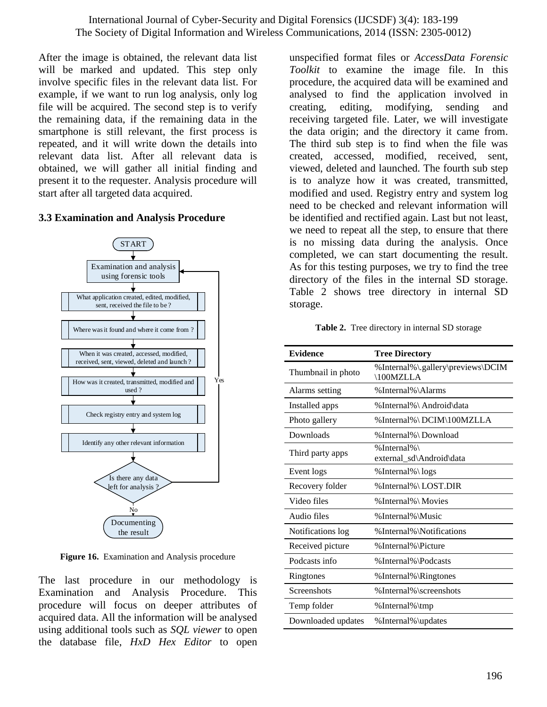After the image is obtained, the relevant data list will be marked and updated. This step only involve specific files in the relevant data list. For example, if we want to run log analysis, only log file will be acquired. The second step is to verify the remaining data, if the remaining data in the smartphone is still relevant, the first process is repeated, and it will write down the details into relevant data list. After all relevant data is obtained, we will gather all initial finding and present it to the requester. Analysis procedure will start after all targeted data acquired.

## **3.3 Examination and Analysis Procedure**



**Figure 16.** Examination and Analysis procedure

The last procedure in our methodology is Examination and Analysis Procedure. This procedure will focus on deeper attributes of acquired data. All the information will be analysed using additional tools such as *SQL viewer* to open the database file, *HxD Hex Editor* to open

unspecified format files or *AccessData Forensic Toolkit* to examine the image file. In this procedure, the acquired data will be examined and analysed to find the application involved in creating, editing, modifying, sending and receiving targeted file. Later, we will investigate the data origin; and the directory it came from. The third sub step is to find when the file was created, accessed, modified, received, sent, viewed, deleted and launched. The fourth sub step is to analyze how it was created, transmitted, modified and used. Registry entry and system log need to be checked and relevant information will be identified and rectified again. Last but not least, we need to repeat all the step, to ensure that there is no missing data during the analysis. Once completed, we can start documenting the result. As for this testing purposes, we try to find the tree directory of the files in the internal SD storage. Table 2 shows tree directory in internal SD storage.

**Table 2.** Tree directory in internal SD storage

| <b>Evidence</b>    | <b>Tree Directory</b>                         |
|--------------------|-----------------------------------------------|
| Thumbnail in photo | %Internal%\.gallery\previews\DCIM<br>100MZLLA |
| Alarms setting     | %Internal%\Alarms                             |
| Installed apps     | %Internal% \ Android \ data                   |
| Photo gallery      | %Internal%\DCIM\100MZLLA                      |
| Downloads          | %Internal%\Download                           |
| Third party apps   | %Internal%\<br>external_sd\Android\data       |
| Event logs         | %Internal%\logs                               |
| Recovery folder    | %Internal%\LOST.DIR                           |
| Video files        | %Internal%\Movies                             |
| Audio files        | %Internal%\Music                              |
| Notifications log  | % Internal% \Notifications                    |
| Received picture   | % Internal% \Picture                          |
| Podcasts info      | %Internal%\Podcasts                           |
| Ringtones          | % Internal% \Ringtones                        |
| Screenshots        | %Internal%\screenshots                        |
| Temp folder        | % Internal% \tmp                              |
| Downloaded updates | % Internal% \updates                          |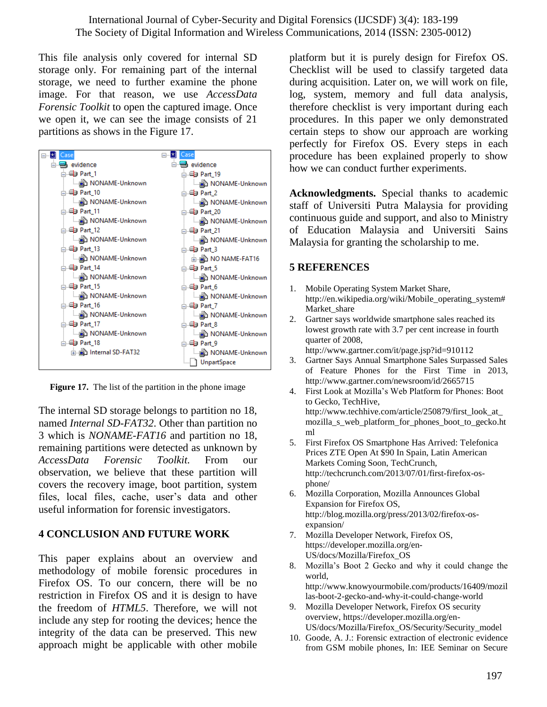This file analysis only covered for internal SD storage only. For remaining part of the internal storage, we need to further examine the phone image. For that reason, we use *AccessData Forensic Toolkit* to open the captured image. Once we open it, we can see the image consists of 21 partitions as shows in the Figure 17.



**Figure 17.** The list of the partition in the phone image

The internal SD storage belongs to partition no 18, named *Internal SD-FAT32*. Other than partition no 3 which is *NONAME-FAT16* and partition no 18, remaining partitions were detected as unknown by *AccessData Forensic Toolkit.* From our observation, we believe that these partition will covers the recovery image, boot partition, system files, local files, cache, user's data and other useful information for forensic investigators.

## **4 CONCLUSION AND FUTURE WORK**

This paper explains about an overview and methodology of mobile forensic procedures in Firefox OS. To our concern, there will be no restriction in Firefox OS and it is design to have the freedom of *HTML5*. Therefore, we will not include any step for rooting the devices; hence the integrity of the data can be preserved. This new approach might be applicable with other mobile

platform but it is purely design for Firefox OS. Checklist will be used to classify targeted data during acquisition. Later on, we will work on file, log, system, memory and full data analysis, therefore checklist is very important during each procedures. In this paper we only demonstrated certain steps to show our approach are working perfectly for Firefox OS. Every steps in each procedure has been explained properly to show how we can conduct further experiments.

**Acknowledgments.** Special thanks to academic staff of Universiti Putra Malaysia for providing continuous guide and support, and also to Ministry of Education Malaysia and Universiti Sains Malaysia for granting the scholarship to me.

## **5 REFERENCES**

- 1. Mobile Operating System Market Share, http://en.wikipedia.org/wiki/Mobile\_operating\_system# Market share
- 2. Gartner says worldwide smartphone sales reached its lowest growth rate with 3.7 per cent increase in fourth quarter of 2008, http://www.gartner.com/it/page.jsp?id=910112
- 3. Gartner Says Annual Smartphone Sales Surpassed Sales of Feature Phones for the First Time in 2013, http://www.gartner.com/newsroom/id/2665715
- 4. First Look at Mozilla's Web Platform for Phones: Boot to Gecko, TechHive, http://www.techhive.com/article/250879/first\_look\_at mozilla\_s\_web\_platform\_for\_phones\_boot\_to\_gecko.ht ml
- 5. First Firefox OS Smartphone Has Arrived: Telefonica Prices ZTE Open At \$90 In Spain, Latin American Markets Coming Soon, TechCrunch, http://techcrunch.com/2013/07/01/first-firefox-osphone/
- 6. Mozilla Corporation, Mozilla Announces Global Expansion for Firefox OS, http://blog.mozilla.org/press/2013/02/firefox-osexpansion/
- 7. Mozilla Developer Network, Firefox OS, https://developer.mozilla.org/en-US/docs/Mozilla/Firefox\_OS
- 8. Mozilla's Boot 2 Gecko and why it could change the world,
- http://www.knowyourmobile.com/products/16409/mozil las-boot-2-gecko-and-why-it-could-change-world
- 9. Mozilla Developer Network, Firefox OS security overview, https://developer.mozilla.org/en-US/docs/Mozilla/Firefox\_OS/Security/Security\_model
- 10. Goode, A. J.: Forensic extraction of electronic evidence from GSM mobile phones, In: IEE Seminar on Secure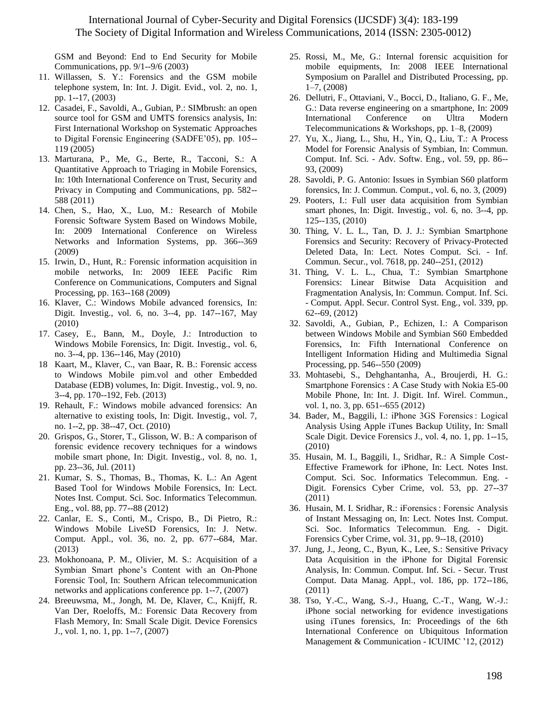GSM and Beyond: End to End Security for Mobile Communications, pp. 9/1--9/6 (2003)

- 11. Willassen, S. Y.: Forensics and the GSM mobile telephone system, In: Int. J. Digit. Evid., vol. 2, no. 1, pp. 1--17, (2003)
- 12. Casadei, F., Savoldi, A., Gubian, P.: SIMbrush: an open source tool for GSM and UMTS forensics analysis, In: First International Workshop on Systematic Approaches to Digital Forensic Engineering (SADFE'05), pp. 105-- 119 (2005)
- 13. Marturana, P., Me, G., Berte, R., Tacconi, S.: A Quantitative Approach to Triaging in Mobile Forensics, In: 10th International Conference on Trust, Security and Privacy in Computing and Communications, pp. 582-- 588 (2011)
- 14. Chen, S., Hao, X., Luo, M.: Research of Mobile Forensic Software System Based on Windows Mobile, In: 2009 International Conference on Wireless Networks and Information Systems, pp. 366--369 (2009)
- 15. Irwin, D., Hunt, R.: Forensic information acquisition in mobile networks, In: 2009 IEEE Pacific Rim Conference on Communications, Computers and Signal Processing, pp. 163--168 (2009)
- 16. Klaver, C.: Windows Mobile advanced forensics, In: Digit. Investig., vol. 6, no. 3--4, pp. 147--167, May (2010)
- 17. Casey, E., Bann, M., Doyle, J.: Introduction to Windows Mobile Forensics, In: Digit. Investig., vol. 6, no. 3--4, pp. 136--146, May (2010)
- 18 Kaart, M., Klaver, C., van Baar, R. B.: Forensic access to Windows Mobile pim.vol and other Embedded Database (EDB) volumes, In: Digit. Investig., vol. 9, no. 3--4, pp. 170--192, Feb. (2013)
- 19. Rehault, F.: Windows mobile advanced forensics: An alternative to existing tools, In: Digit. Investig., vol. 7, no. 1--2, pp. 38--47, Oct. (2010)
- 20. Grispos, G., Storer, T., Glisson, W. B.: A comparison of forensic evidence recovery techniques for a windows mobile smart phone, In: Digit. Investig., vol. 8, no. 1, pp. 23--36, Jul. (2011)
- 21. Kumar, S. S., Thomas, B., Thomas, K. L.: An Agent Based Tool for Windows Mobile Forensics, In: Lect. Notes Inst. Comput. Sci. Soc. Informatics Telecommun. Eng., vol. 88, pp. 77--88 (2012)
- 22. Canlar, E. S., Conti, M., Crispo, B., Di Pietro, R.: Windows Mobile LiveSD Forensics, In: J. Netw. Comput. Appl., vol. 36, no. 2, pp. 677--684, Mar. (2013)
- 23. Mokhonoana, P. M., Olivier, M. S.: Acquisition of a Symbian Smart phone's Content with an On-Phone Forensic Tool, In: Southern African telecommunication networks and applications conference pp. 1--7, (2007)
- 24. Breeuwsma, M., Jongh, M. De, Klaver, C., Knijff, R. Van Der, Roeloffs, M.: Forensic Data Recovery from Flash Memory, In: Small Scale Digit. Device Forensics J., vol. 1, no. 1, pp. 1--7, (2007)
- 25. Rossi, M., Me, G.: Internal forensic acquisition for mobile equipments, In: 2008 IEEE International Symposium on Parallel and Distributed Processing, pp. 1–7, (2008)
- 26. Dellutri, F., Ottaviani, V., Bocci, D., Italiano, G. F., Me, G.: Data reverse engineering on a smartphone, In: 2009 International Conference on Ultra Modern Telecommunications & Workshops, pp. 1–8, (2009)
- 27. Yu, X., Jiang, L., Shu, H., Yin, Q., Liu, T.: A Process Model for Forensic Analysis of Symbian, In: Commun. Comput. Inf. Sci. - Adv. Softw. Eng., vol. 59, pp. 86-- 93, (2009)
- 28. Savoldi, P. G. Antonio: Issues in Symbian S60 platform forensics, In: J. Commun. Comput., vol. 6, no. 3, (2009)
- 29. Pooters, I.: Full user data acquisition from Symbian smart phones, In: Digit. Investig., vol. 6, no. 3--4, pp. 125--135, (2010)
- 30. Thing, V. L. L., Tan, D. J. J.: Symbian Smartphone Forensics and Security: Recovery of Privacy-Protected Deleted Data, In: Lect. Notes Comput. Sci. - Inf. Commun. Secur., vol. 7618, pp. 240--251, (2012)
- 31. Thing, V. L. L., Chua, T.: Symbian Smartphone Forensics: Linear Bitwise Data Acquisition and Fragmentation Analysis, In: Commun. Comput. Inf. Sci. - Comput. Appl. Secur. Control Syst. Eng., vol. 339, pp. 62--69, (2012)
- 32. Savoldi, A., Gubian, P., Echizen, I.: A Comparison between Windows Mobile and Symbian S60 Embedded Forensics, In: Fifth International Conference on Intelligent Information Hiding and Multimedia Signal Processing, pp. 546--550 (2009)
- 33. Mohtasebi, S., Dehghantanha, A., Broujerdi, H. G.: Smartphone Forensics : A Case Study with Nokia E5-00 Mobile Phone, In: Int. J. Digit. Inf. Wirel. Commun., vol. 1, no. 3, pp. 651--655 (2012)
- 34. Bader, M., Baggili, I.: iPhone 3GS Forensics : Logical Analysis Using Apple iTunes Backup Utility, In: Small Scale Digit. Device Forensics J., vol. 4, no. 1, pp. 1--15, (2010)
- 35. Husain, M. I., Baggili, I., Sridhar, R.: A Simple Cost-Effective Framework for iPhone, In: Lect. Notes Inst. Comput. Sci. Soc. Informatics Telecommun. Eng. - Digit. Forensics Cyber Crime, vol. 53, pp. 27--37 (2011)
- 36. Husain, M. I. Sridhar, R.: iForensics : Forensic Analysis of Instant Messaging on, In: Lect. Notes Inst. Comput. Sci. Soc. Informatics Telecommun. Eng. - Digit. Forensics Cyber Crime, vol. 31, pp. 9--18, (2010)
- 37. Jung, J., Jeong, C., Byun, K., Lee, S.: Sensitive Privacy Data Acquisition in the iPhone for Digital Forensic Analysis, In: Commun. Comput. Inf. Sci. - Secur. Trust Comput. Data Manag. Appl., vol. 186, pp. 172--186, (2011)
- 38. Tso, Y.-C., Wang, S.-J., Huang, C.-T., Wang, W.-J.: iPhone social networking for evidence investigations using iTunes forensics, In: Proceedings of the 6th International Conference on Ubiquitous Information Management & Communication - ICUIMC '12, (2012)